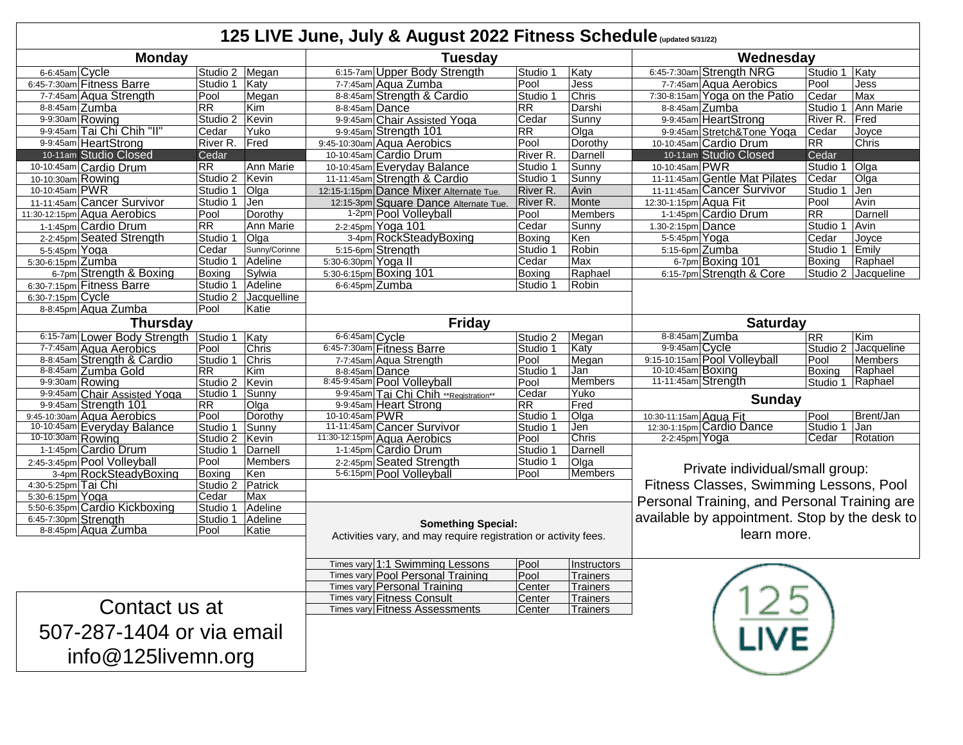## **125 LIVE June, July & August 2022 Fitness Schedule (updated 5/31/22)**

| $\sim$ Live band, bar, a ragable<br><b>PLL I IGHOOD OOHIOGGIO</b> (updated 3/31/22) |                                                                                                                                      |                        |                      |                                                                      |                           |                                                    |                                         |                                               |                  |                     |
|-------------------------------------------------------------------------------------|--------------------------------------------------------------------------------------------------------------------------------------|------------------------|----------------------|----------------------------------------------------------------------|---------------------------|----------------------------------------------------|-----------------------------------------|-----------------------------------------------|------------------|---------------------|
| <b>Monday</b>                                                                       |                                                                                                                                      |                        |                      | <b>Tuesday</b>                                                       |                           |                                                    | Wednesday                               |                                               |                  |                     |
| 6-6:45am Cycle                                                                      |                                                                                                                                      | Studio 2 Megan         |                      | 6:15-7am Upper Body Strength                                         | Studio 1                  | Katy                                               |                                         | 6:45-7:30am Strength NRG                      | Studio 1   Katy  |                     |
|                                                                                     | 6:45-7:30am Fitness Barre                                                                                                            | Studio 1   Katy        |                      | 7-7:45am Aqua Zumba                                                  | Pool                      | Jess                                               |                                         | 7-7:45am Aqua Aerobics                        | Pool             | Jess                |
|                                                                                     | 7-7:45am Aqua Strength                                                                                                               | Pool                   | Megan                | 8-8:45am Strength & Cardio                                           | Studio 1                  | Chris                                              |                                         | 7:30-8:15am Yoga on the Patio                 | Cedar            | Max                 |
|                                                                                     | 8-8:45am Zumba                                                                                                                       | <b>RR</b>              | Kim                  | 8-8:45am Dance                                                       | RR.                       | Darshi                                             |                                         | 8-8:45am Zumba                                | Studio 1         | Ann Marie           |
|                                                                                     | 9-9:30am Rowing                                                                                                                      | Studio 2   Kevin       |                      | 9-9:45am Chair Assisted Yoga                                         | Cedar                     | Sunny                                              |                                         | 9-9.45am HeartStrong                          | River R.         | Fred                |
|                                                                                     | 9-9:45am Tai Chi Chih "II"                                                                                                           | Cedar                  | Yuko                 | 9-9:45am Strength 101                                                | RR                        | Olga                                               |                                         | 9-9.45am Stretch&Tone Yoga                    | Cedar            | Joyce               |
|                                                                                     | 9-9:45am HeartStrong                                                                                                                 | River R. Fred          |                      | 9.45-10.30am Aqua Aerobics                                           | Pool                      | Dorothy                                            |                                         | 10-10:45am Cardio Drum                        | RR               | Chris               |
|                                                                                     | 10-11am Studio Closed                                                                                                                | Cedar                  |                      | 10-10:45am Cardio Drum                                               | River R.                  | Darnell                                            |                                         | 10-11am Studio Closed                         | Cedar            |                     |
|                                                                                     | 10-10:45am Cardio Drum                                                                                                               | <b>RR</b>              | Ann Marie            | 10-10:45am Everyday Balance                                          | Studio 1                  | Sunny                                              | 10-10:45am PWR                          |                                               | Studio 1         | Olga                |
| 10-10:30am Rowing                                                                   |                                                                                                                                      | Studio 2 Kevin         |                      | 11-11:45am Strength & Cardio                                         | Studio 1                  | Sunny                                              |                                         | 11-11:45am Gentle Mat Pilates                 | Cedar            | Olga                |
| 10-10:45am PWR                                                                      |                                                                                                                                      | Studio 1 Olga          |                      | 12:15-1:15pm Dance Mixer Alternate Tue.                              | River <sub>R.</sub>       | Avin                                               |                                         | 11-11:45am Cancer Survivor                    | Studio 1         | Jen                 |
|                                                                                     | 11-11:45am Cancer Survivor                                                                                                           | Studio 1 Jen           |                      | 12:15-3pm Square Dance Alternate Tue.                                | River R.                  | Monte                                              | 12:30-1:15pm Aqua Fit                   |                                               | Pool             | Avin                |
|                                                                                     | 11:30-12:15pm Aqua Aerobics                                                                                                          | Pool                   | Dorothy              | 1-2pm Pool Volleyball                                                | Pool                      | <b>Members</b>                                     |                                         | 1-1:45pm Cardio Drum                          | <b>RR</b>        | Darnell             |
|                                                                                     | 1-1:45pm Cardio Drum                                                                                                                 | <b>RR</b>              | Ann Marie            | 2-2:45pm Yoga 101                                                    | Cedar                     | Sunny                                              | 1.30-2:15pm Dance                       |                                               | Studio 1         | Avin                |
|                                                                                     | 2-2:45pm Seated Strength                                                                                                             | Studio 1               | Olga                 | 3-4pm RockSteadyBoxing                                               | Boxing                    | Ken                                                | 5-5:45pm Yoga                           |                                               | Cedar            | Joyce               |
| 5-5:45pm Yoga                                                                       |                                                                                                                                      | Cedar                  | Sunny/Corinne        | 5:15-6pm Strength                                                    | Studio 1                  | Robin                                              | 5:15-6pm Zumba                          |                                               | Studio 1         | Emily               |
| 5:30-6:15pm Zumba                                                                   |                                                                                                                                      | Studio 1               | Adeline              | 5:30-6:30pm Yoga II                                                  | Cedar                     | Max                                                |                                         | 6-7pm Boxing 101                              | <b>Boxing</b>    | Raphael             |
|                                                                                     | 6-7pm Strength & Boxing                                                                                                              | <b>Boxing</b>          | Sylwia               | 5:30-6:15pm Boxing 101                                               | Boxing                    | Raphael                                            |                                         | 6:15-7pm Strenath & Core                      |                  | Studio 2 Jacqueline |
|                                                                                     | 6:30-7:15pm Fitness Barre                                                                                                            | Studio 1               | Adeline              | 6-6:45pm Zumba                                                       | Studio 1                  | Robin                                              |                                         |                                               |                  |                     |
| 6:30-7:15pm Cycle                                                                   |                                                                                                                                      |                        | Studio 2 Jacquelline |                                                                      |                           |                                                    |                                         |                                               |                  |                     |
| 8-8:45pm Aqua Zumba<br>Pool<br>Katie                                                |                                                                                                                                      |                        |                      |                                                                      |                           |                                                    |                                         |                                               |                  |                     |
| <b>Thursday</b>                                                                     |                                                                                                                                      |                        |                      | <b>Friday</b>                                                        |                           |                                                    | <b>Saturday</b>                         |                                               |                  |                     |
|                                                                                     | 6:15-7am Lower Body Strength Studio 1                                                                                                |                        | Katy                 | 6-6:45am Cycle                                                       | Studio 2                  | Megan                                              |                                         | 8-8:45am Zumba                                | <b>RR</b>        | Kim                 |
|                                                                                     | 7-7:45am Aqua Aerobics                                                                                                               | Pool                   | Chris                | 6:45-7:30am Fitness Barre                                            | Studio 1                  | Katy                                               | 9-9:45am Cycle                          |                                               |                  | Studio 2 Jacqueline |
|                                                                                     | 8-8:45am Strength & Cardio                                                                                                           | Studio 1 Chris         |                      | 7-7:45am Aqua Strength                                               | Pool                      | Megan                                              |                                         | 9:15-10:15am Pool Volleyball                  | Pool             | Members             |
|                                                                                     | 8-8:45am Zumba Gold                                                                                                                  | <b>RR</b>              | <b>Kim</b>           | 8-8:45am Dance                                                       | Studio 1                  | Jan                                                | 10-10:45am Boxing                       |                                               | Boxina           | Raphael             |
|                                                                                     | 9-9:30am Rowing                                                                                                                      | Studio 2 Kevin         |                      | 8:45-9:45am Pool Volleyball                                          | Pool                      | <b>Members</b>                                     | 11-11:45am Strength                     |                                               |                  | Studio 1 Raphael    |
|                                                                                     | 9-9:45am Chair Assisted Yoga                                                                                                         | Studio 1 Sunny         |                      | 9-9:45am Tai Chi Chih **Registration**                               | Cedar                     | Yuko                                               | <b>Sunday</b>                           |                                               |                  |                     |
|                                                                                     | 9-9:45am Strength 101                                                                                                                | <b>RR</b>              | Olga                 | 9-9:45am Heart Strong<br>10-10:45am PWR                              | RR.                       | Fred                                               |                                         |                                               |                  | Brent/Jan           |
|                                                                                     | 9:45-10:30am Aqua Aerobics<br>10-10:45am Everyday Balance                                                                            | Pool<br>Studio 1 Sunny | Dorothy              | 11-11:45am Cancer Survivor                                           | Studio 1<br>Studio 1      | Olga<br>Jen                                        | 10:30-11:15am Aqua Fit                  | 12:30-1:15pm Cardio Dance                     | Pool<br>Studio 1 | Jan                 |
| 10-10:30am Rowing                                                                   |                                                                                                                                      | Studio 2   Kevin       |                      | 11:30-12:15pm Aqua Aerobics                                          | Pool                      | Chris                                              | 2-2:45pm $Yoga$                         |                                               | Cedar            | Rotation            |
|                                                                                     | 1-1:45pm Cardio Drum                                                                                                                 | Studio 1   Darnell     |                      | 1-1:45pm Cardio Drum                                                 | Studio 1                  | Darnell                                            |                                         |                                               |                  |                     |
|                                                                                     | 2:45-3:45pm Pool Volleyball                                                                                                          | Pool                   | <b>Members</b>       | 2-2:45pm Seated Strength                                             | Studio 1                  | Olga                                               |                                         |                                               |                  |                     |
|                                                                                     | 3-4pm RockSteadyBoxing                                                                                                               | Boxing                 | Ken                  | 5-6:15pm Pool Volleyball                                             |                           | Private individual/small group:<br>Members<br>Pool |                                         |                                               |                  |                     |
| 4:30-5:25pm Tai Chi                                                                 |                                                                                                                                      | Studio 2 Patrick       |                      |                                                                      |                           |                                                    | Fitness Classes, Swimming Lessons, Pool |                                               |                  |                     |
| 5:30-6:15pm Yoga                                                                    |                                                                                                                                      | Cedar                  | Max                  |                                                                      |                           |                                                    |                                         |                                               |                  |                     |
|                                                                                     | 5:50-6:35pm Cardio Kickboxing                                                                                                        | Studio 1 Adeline       |                      |                                                                      |                           |                                                    |                                         | Personal Training, and Personal Training are  |                  |                     |
| 6:45-7:30pm Strength                                                                |                                                                                                                                      | Studio 1 Adeline       |                      |                                                                      |                           |                                                    |                                         | available by appointment. Stop by the desk to |                  |                     |
|                                                                                     | <b>Something Special:</b><br>8-8:45pm Aqua Zumba<br>Pool<br>Katie<br>Activities vary, and may require registration or activity fees. |                        |                      |                                                                      |                           | learn more.                                        |                                         |                                               |                  |                     |
|                                                                                     |                                                                                                                                      |                        |                      |                                                                      |                           |                                                    |                                         |                                               |                  |                     |
|                                                                                     |                                                                                                                                      |                        |                      |                                                                      |                           |                                                    |                                         |                                               |                  |                     |
|                                                                                     |                                                                                                                                      |                        |                      | Times vary 1:1 Swimming Lessons<br>Times vary Pool Personal Training | Pool<br>Pool              | <b>Instructors</b><br>Trainers                     |                                         |                                               |                  |                     |
|                                                                                     |                                                                                                                                      |                        |                      | <b>Times vary Personal Training</b>                                  | Center                    | <b>Trainers</b>                                    |                                         |                                               |                  |                     |
|                                                                                     |                                                                                                                                      |                        |                      | Times vary Fitness Consult<br><b>Trainers</b><br>Center              |                           |                                                    |                                         |                                               |                  |                     |
| Contact us at                                                                       |                                                                                                                                      |                        |                      | Times vary Fitness Assessments                                       | Center<br><b>Trainers</b> |                                                    |                                         |                                               |                  |                     |
|                                                                                     |                                                                                                                                      |                        |                      |                                                                      |                           |                                                    |                                         |                                               |                  |                     |
| 507-287-1404 or via email                                                           |                                                                                                                                      |                        |                      |                                                                      |                           |                                                    |                                         |                                               |                  |                     |
|                                                                                     |                                                                                                                                      |                        |                      |                                                                      |                           |                                                    |                                         |                                               |                  |                     |
| $info@125$ livemn.org                                                               |                                                                                                                                      |                        |                      |                                                                      |                           |                                                    |                                         |                                               |                  |                     |
|                                                                                     |                                                                                                                                      |                        |                      |                                                                      |                           |                                                    |                                         |                                               |                  |                     |